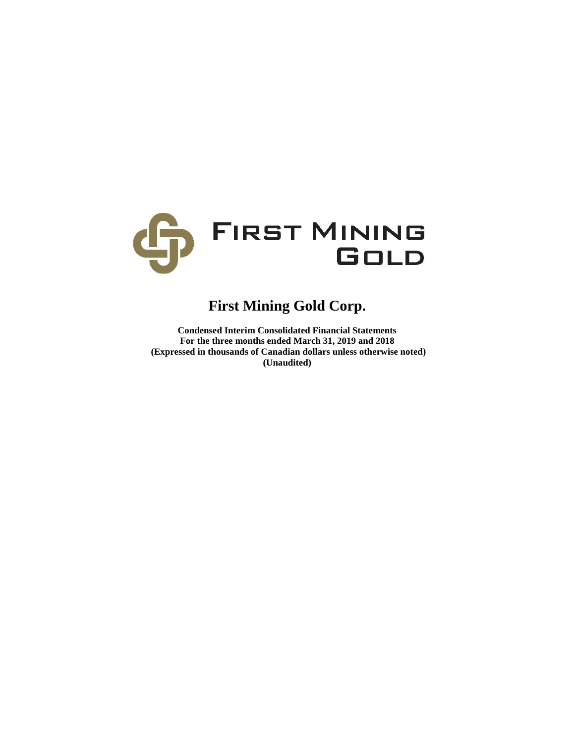

# **First Mining Gold Corp.**

**Condensed Interim Consolidated Financial Statements For the three months ended March 31, 2019 and 2018 (Expressed in thousands of Canadian dollars unless otherwise noted) (Unaudited)**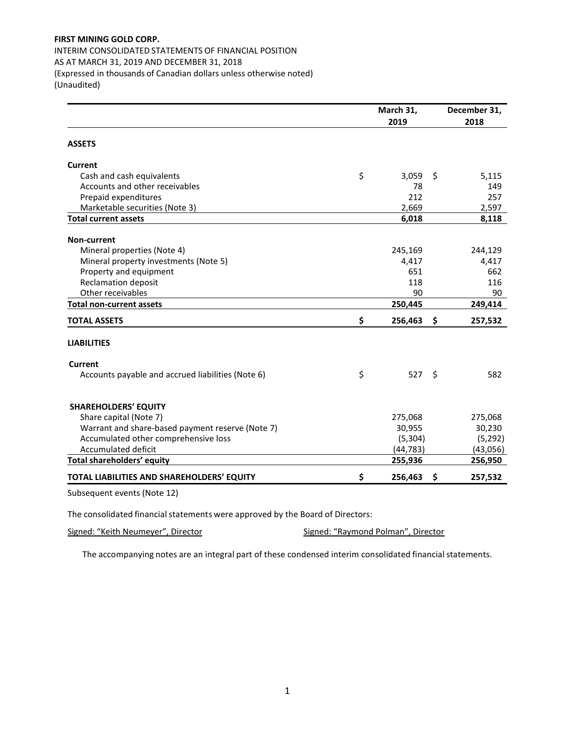INTERIM CONSOLIDATED STATEMENTS OF FINANCIAL POSITION AS AT MARCH 31, 2019 AND DECEMBER 31, 2018 (Expressed in thousands of Canadian dollars unless otherwise noted) (Unaudited)

|                                                   | March 31,     |    | December 31, |
|---------------------------------------------------|---------------|----|--------------|
|                                                   | 2019          |    | 2018         |
| <b>ASSETS</b>                                     |               |    |              |
| <b>Current</b>                                    |               |    |              |
| Cash and cash equivalents                         | \$<br>3,059   | \$ | 5,115        |
| Accounts and other receivables                    | 78            |    | 149          |
| Prepaid expenditures                              | 212           |    | 257          |
| Marketable securities (Note 3)                    | 2,669         |    | 2,597        |
| <b>Total current assets</b>                       | 6,018         |    | 8,118        |
| <b>Non-current</b>                                |               |    |              |
| Mineral properties (Note 4)                       | 245,169       |    | 244,129      |
| Mineral property investments (Note 5)             | 4,417         |    | 4,417        |
| Property and equipment                            | 651           |    | 662          |
| <b>Reclamation deposit</b>                        | 118           |    | 116          |
| Other receivables                                 | 90            |    | 90           |
| <b>Total non-current assets</b>                   | 250,445       |    | 249,414      |
| <b>TOTAL ASSETS</b>                               | \$<br>256,463 | \$ | 257,532      |
| <b>LIABILITIES</b>                                |               |    |              |
| Current                                           |               |    |              |
| Accounts payable and accrued liabilities (Note 6) | \$<br>527     | Ŝ. | 582          |
| <b>SHAREHOLDERS' EQUITY</b>                       |               |    |              |
| Share capital (Note 7)                            | 275,068       |    | 275,068      |
| Warrant and share-based payment reserve (Note 7)  | 30,955        |    | 30,230       |
| Accumulated other comprehensive loss              | (5,304)       |    | (5, 292)     |
| Accumulated deficit                               | (44, 783)     |    | (43,056)     |
| <b>Total shareholders' equity</b>                 | 255,936       |    | 256,950      |
| TOTAL LIABILITIES AND SHAREHOLDERS' EQUITY        | \$<br>256,463 | \$ | 257,532      |
| Subsequent events (Note 12)                       |               |    |              |

The consolidated financial statements were approved by the Board of Directors:

Signed: "Keith Neumeyer", Director Signed: "Raymond Polman", Director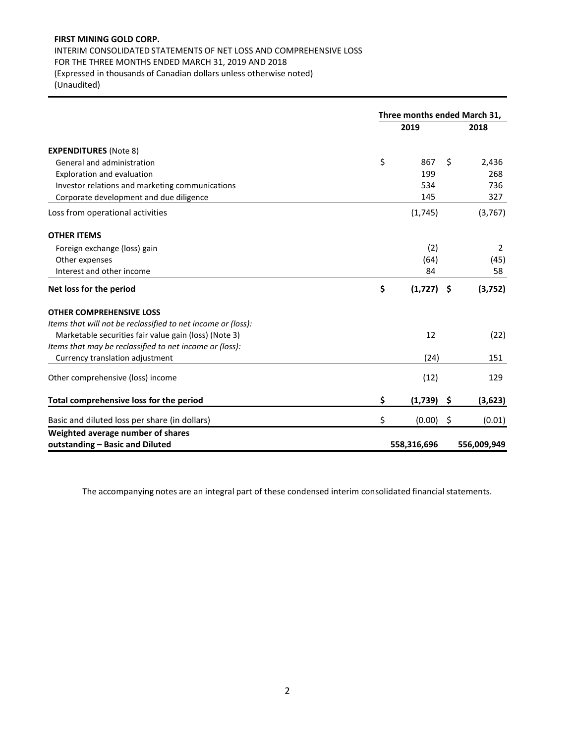## INTERIM CONSOLIDATED STATEMENTS OF NET LOSS AND COMPREHENSIVE LOSS FOR THE THREE MONTHS ENDED MARCH 31, 2019 AND 2018 (Expressed in thousands of Canadian dollars unless otherwise noted) (Unaudited)

**Three months ended March 31, 2019 2018 EXPENDITURES** (Note 8) General and administration and the state of the state of the state of the state of the state of the state of the state of the state of the state of the state of the state of the state of the state of the state of the state Exploration and evaluation 199 268 Investor relations and marketing communications 634 534 736 Corporate development and due diligence 145 327 Loss from operational activities (1,745) (3,767) **OTHER ITEMS** Foreign exchange (loss) gain and the control of the control of the control of the control of the control of the control of the control of the control of the control of the control of the control of the control of the contr Other expenses (64) (45) Interest and other income 68 and  $\frac{84}{2}$  58 **Net loss for the period \$ (1,727) \$ (3,752) OTHER COMPREHENSIVE LOSS** *Items that will not be reclassified to net income or (loss):* Marketable securities fair value gain (loss) (Note 3) 12 12 (22) *Items that may be reclassified to net income or (loss):* Currency translation adjustment 151 Other comprehensive (loss) income (12) 129 **Total comprehensive loss for the period \$ (1,739) \$ (3,623)** Basic and diluted loss per share (in dollars)  $\zeta$  (0.00) \$ (0.01) **Weighted average number of shares outstanding – Basic and Diluted 558,316,696 556,009,949**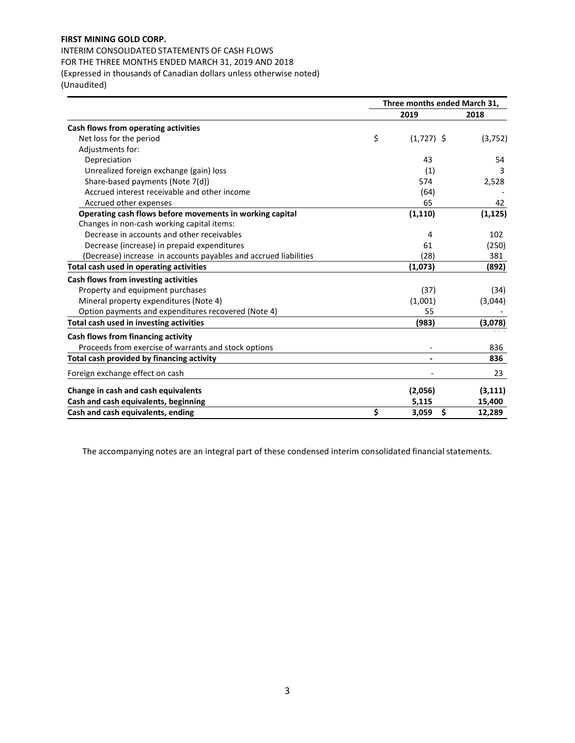INTERIM CONSOLIDATED STATEMENTS OF CASH FLOWS FOR THE THREE MONTHS ENDED MARCH 31, 2019 AND 2018 (Expressed in thousands of Canadian dollars unless otherwise noted) (Unaudited)

|                                                                  | Three months ended March 31, |              |          |  |
|------------------------------------------------------------------|------------------------------|--------------|----------|--|
|                                                                  |                              | 2019         | 2018     |  |
| Cash flows from operating activities                             |                              |              |          |  |
| Net loss for the period                                          | \$                           | $(1,727)$ \$ | (3,752)  |  |
| Adjustments for:                                                 |                              |              |          |  |
| Depreciation                                                     |                              | 43           | 54       |  |
| Unrealized foreign exchange (gain) loss                          |                              | (1)          | 3        |  |
| Share-based payments (Note 7(d))                                 |                              | 574          | 2,528    |  |
| Accrued interest receivable and other income                     |                              | (64)         |          |  |
| Accrued other expenses                                           |                              | 65           | 42       |  |
| Operating cash flows before movements in working capital         |                              | (1, 110)     | (1, 125) |  |
| Changes in non-cash working capital items:                       |                              |              |          |  |
| Decrease in accounts and other receivables                       |                              | 4            | 102      |  |
| Decrease (increase) in prepaid expenditures                      |                              | 61           | (250)    |  |
| (Decrease) increase in accounts payables and accrued liabilities |                              | (28)         | 381      |  |
| Total cash used in operating activities                          |                              | (1,073)      | (892)    |  |
| Cash flows from investing activities                             |                              |              |          |  |
| Property and equipment purchases                                 |                              | (37)         | (34)     |  |
| Mineral property expenditures (Note 4)                           |                              | (1,001)      | (3,044)  |  |
| Option payments and expenditures recovered (Note 4)              |                              | 55           |          |  |
| Total cash used in investing activities                          |                              | (983)        | (3,078)  |  |
| Cash flows from financing activity                               |                              |              |          |  |
| Proceeds from exercise of warrants and stock options             |                              |              | 836      |  |
| Total cash provided by financing activity                        |                              |              | 836      |  |
| Foreign exchange effect on cash                                  |                              |              | 23       |  |
| Change in cash and cash equivalents                              |                              | (2,056)      | (3, 111) |  |
| Cash and cash equivalents, beginning                             |                              | 5,115        | 15,400   |  |
| Cash and cash equivalents, ending                                | \$                           | \$<br>3,059  | 12,289   |  |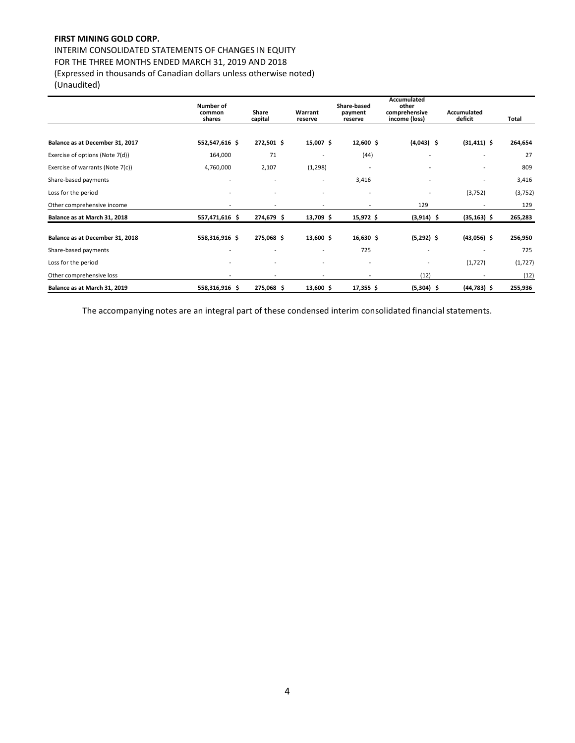INTERIM CONSOLIDATED STATEMENTS OF CHANGES IN EQUITY FOR THE THREE MONTHS ENDED MARCH 31, 2019 AND 2018 (Expressed in thousands of Canadian dollars unless otherwise noted)

(Unaudited)

|                                  | Number of<br>common<br>shares | Share<br>capital         | Warrant<br>reserve       | Share-based<br>payment<br>reserve | Accumulated<br>other<br>comprehensive<br>income (loss) | Accumulated<br>deficit | Total    |
|----------------------------------|-------------------------------|--------------------------|--------------------------|-----------------------------------|--------------------------------------------------------|------------------------|----------|
|                                  |                               |                          |                          |                                   |                                                        |                        |          |
| Balance as at December 31, 2017  | 552,547,616 \$                | 272,501 \$               | 15,007 \$                | $12,600$ \$                       | $(4,043)$ \$                                           | $(31, 411)$ \$         | 264,654  |
| Exercise of options (Note 7(d))  | 164,000                       | 71                       |                          | (44)                              |                                                        |                        | 27       |
| Exercise of warrants (Note 7(c)) | 4,760,000                     | 2,107                    | (1,298)                  | $\overline{a}$                    |                                                        |                        | 809      |
| Share-based payments             |                               |                          |                          | 3,416                             |                                                        |                        | 3,416    |
| Loss for the period              |                               |                          |                          | -                                 |                                                        | (3,752)                | (3, 752) |
| Other comprehensive income       |                               |                          |                          |                                   | 129                                                    |                        | 129      |
| Balance as at March 31, 2018     | 557,471,616 \$                | 274,679 \$               | 13,709 \$                | 15,972 \$                         | $(3,914)$ \$                                           | $(35, 163)$ \$         | 265,283  |
| Balance as at December 31, 2018  | 558,316,916 \$                | 275,068 \$               | 13,600 \$                | $16,630$ \$                       | $(5,292)$ \$                                           | $(43,056)$ \$          | 256,950  |
| Share-based payments             |                               | $\overline{\phantom{a}}$ | $\overline{\phantom{a}}$ | 725                               | $\overline{\phantom{a}}$                               |                        | 725      |
| Loss for the period              |                               |                          |                          | $\overline{\phantom{a}}$          | $\overline{\phantom{a}}$                               | (1,727)                | (1, 727) |
| Other comprehensive loss         |                               |                          |                          |                                   | (12)                                                   |                        | (12)     |
| Balance as at March 31, 2019     | 558,316,916 \$                | 275,068 \$               | 13,600 \$                | $17,355$ \$                       | $(5,304)$ \$                                           | $(44, 783)$ \$         | 255,936  |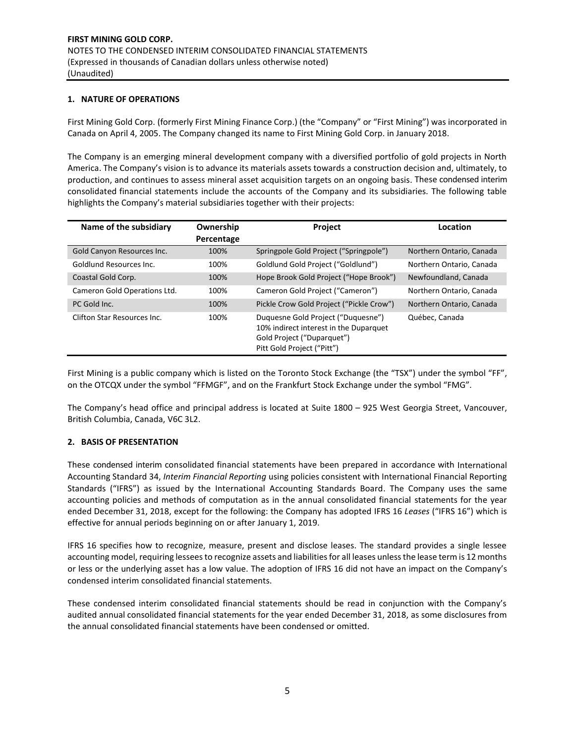## **1. NATURE OF OPERATIONS**

First Mining Gold Corp. (formerly First Mining Finance Corp.) (the "Company" or "First Mining") was incorporated in Canada on April 4, 2005. The Company changed its name to First Mining Gold Corp. in January 2018.

The Company is an emerging mineral development company with a diversified portfolio of gold projects in North America. The Company's vision is to advance its materials assets towards a construction decision and, ultimately, to production, and continues to assess mineral asset acquisition targets on an ongoing basis. These condensed interim consolidated financial statements include the accounts of the Company and its subsidiaries. The following table highlights the Company's material subsidiaries together with their projects:

| Name of the subsidiary       | Ownership<br>Percentage | <b>Project</b>                                                                                                                           | Location                 |
|------------------------------|-------------------------|------------------------------------------------------------------------------------------------------------------------------------------|--------------------------|
| Gold Canyon Resources Inc.   | 100%                    | Springpole Gold Project ("Springpole")                                                                                                   | Northern Ontario, Canada |
| Goldlund Resources Inc.      | 100%                    | Goldlund Gold Project ("Goldlund")                                                                                                       | Northern Ontario, Canada |
| Coastal Gold Corp.           | 100%                    | Hope Brook Gold Project ("Hope Brook")                                                                                                   | Newfoundland, Canada     |
| Cameron Gold Operations Ltd. | 100%                    | Cameron Gold Project ("Cameron")                                                                                                         | Northern Ontario, Canada |
| PC Gold Inc.                 | 100%                    | Pickle Crow Gold Project ("Pickle Crow")                                                                                                 | Northern Ontario, Canada |
| Clifton Star Resources Inc.  | 100%                    | Duguesne Gold Project ("Duguesne")<br>10% indirect interest in the Duparquet<br>Gold Project ("Duparquet")<br>Pitt Gold Project ("Pitt") | Québec, Canada           |

First Mining is a public company which is listed on the Toronto Stock Exchange (the "TSX") under the symbol "FF", on the OTCQX under the symbol "FFMGF", and on the Frankfurt Stock Exchange under the symbol "FMG".

The Company's head office and principal address is located at Suite 1800 – 925 West Georgia Street, Vancouver, British Columbia, Canada, V6C 3L2.

## **2. BASIS OF PRESENTATION**

These condensed interim consolidated financial statements have been prepared in accordance with International Accounting Standard 34, *Interim Financial Reporting* using policies consistent with International Financial Reporting Standards ("IFRS") as issued by the International Accounting Standards Board. The Company uses the same accounting policies and methods of computation as in the annual consolidated financial statements for the year ended December 31, 2018, except for the following: the Company has adopted IFRS 16 *Leases* ("IFRS 16") which is effective for annual periods beginning on or after January 1, 2019.

IFRS 16 specifies how to recognize, measure, present and disclose leases. The standard provides a single lessee accounting model, requiring lessees to recognize assets and liabilities for all leases unless the lease term is 12 months or less or the underlying asset has a low value. The adoption of IFRS 16 did not have an impact on the Company's condensed interim consolidated financial statements.

These condensed interim consolidated financial statements should be read in conjunction with the Company's audited annual consolidated financial statements for the year ended December 31, 2018, as some disclosures from the annual consolidated financial statements have been condensed or omitted.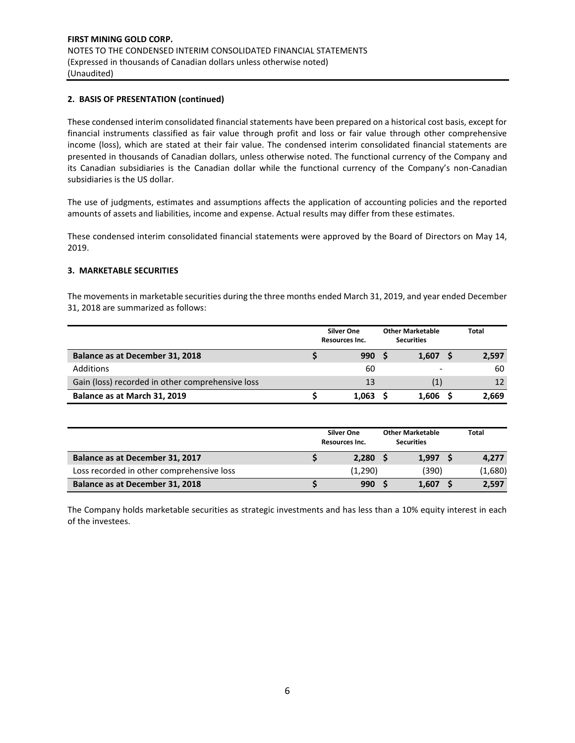## **2. BASIS OF PRESENTATION (continued)**

These condensed interim consolidated financial statements have been prepared on a historical cost basis, except for financial instruments classified as fair value through profit and loss or fair value through other comprehensive income (loss), which are stated at their fair value. The condensed interim consolidated financial statements are presented in thousands of Canadian dollars, unless otherwise noted. The functional currency of the Company and its Canadian subsidiaries is the Canadian dollar while the functional currency of the Company's non-Canadian subsidiaries is the US dollar.

The use of judgments, estimates and assumptions affects the application of accounting policies and the reported amounts of assets and liabilities, income and expense. Actual results may differ from these estimates.

These condensed interim consolidated financial statements were approved by the Board of Directors on May 14, 2019.

## **3. MARKETABLE SECURITIES**

The movements in marketable securities during the three months ended March 31, 2019, and year ended December 31, 2018 are summarized as follows:

|                                                  | <b>Silver One</b><br>Resources Inc. |  | <b>Other Marketable</b><br><b>Securities</b> | <b>Total</b> |       |
|--------------------------------------------------|-------------------------------------|--|----------------------------------------------|--------------|-------|
| Balance as at December 31, 2018                  | 990S                                |  | 1,607                                        |              | 2,597 |
| Additions                                        | 60                                  |  |                                              |              | 60    |
| Gain (loss) recorded in other comprehensive loss | 13                                  |  | (1)                                          |              | 12    |
| Balance as at March 31, 2019                     | 1.063                               |  | 1,606                                        |              | 2,669 |

|                                           | <b>Silver One</b><br>Resources Inc. |  | <b>Other Marketable</b><br><b>Securities</b> |  | <b>Total</b> |
|-------------------------------------------|-------------------------------------|--|----------------------------------------------|--|--------------|
| Balance as at December 31, 2017           | 2,280                               |  | 1.997                                        |  | 4,277        |
| Loss recorded in other comprehensive loss | (1,290)                             |  | (390)                                        |  | (1,680)      |
| Balance as at December 31, 2018           | 990 <sub>5</sub>                    |  | 1.607                                        |  | 2,597        |

The Company holds marketable securities as strategic investments and has less than a 10% equity interest in each of the investees.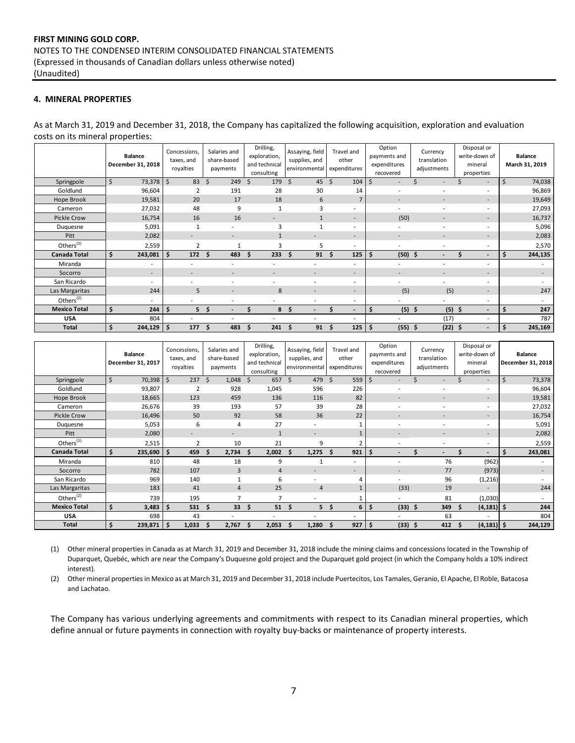## **4. MINERAL PROPERTIES**

As at March 31, 2019 and December 31, 2018, the Company has capitalized the following acquisition, exploration and evaluation costs on its mineral properties:

|                       | <b>Balance</b><br>December 31, 2018 | Concessions,<br>taxes, and<br>royalties | Salaries and<br>share-based<br>payments | Drilling,<br>exploration,<br>and technical<br>consulting | Assaying, field<br>supplies, and<br>environmental expenditures | Travel and<br>other      | Option<br>payments and<br>expenditures<br>recovered | Currency<br>translation<br>adjustments | Disposal or<br>write-down of<br>mineral<br>properties | <b>Balance</b><br>March 31, 2019 |
|-----------------------|-------------------------------------|-----------------------------------------|-----------------------------------------|----------------------------------------------------------|----------------------------------------------------------------|--------------------------|-----------------------------------------------------|----------------------------------------|-------------------------------------------------------|----------------------------------|
| Springpole            | \$<br>73,378                        | $\zeta$<br>83                           | Ŝ.<br>249                               | 179<br>Ŝ.                                                | $45 \quad$<br>$\mathsf{S}$                                     | 104                      | Ś<br>$\overline{\phantom{a}}$                       | $\overline{\phantom{a}}$               | $\overline{\phantom{a}}$                              | \$<br>74,038                     |
| Goldlund              | 96,604                              | 2                                       | 191                                     | 28                                                       | 30                                                             | 14                       | $\overline{\phantom{a}}$                            |                                        | $\overline{\phantom{a}}$                              | 96,869                           |
| Hope Brook            | 19,581                              | 20                                      | 17                                      | 18                                                       | 6                                                              | $\overline{7}$           | $\overline{\phantom{a}}$                            | $\overline{\phantom{a}}$               | $\overline{\phantom{a}}$                              | 19,649                           |
| Cameron               | 27,032                              | 48                                      | 9                                       | 1                                                        | 3                                                              | ٠                        |                                                     |                                        | $\overline{\phantom{a}}$                              | 27,093                           |
| Pickle Crow           | 16,754                              | 16                                      | 16                                      |                                                          |                                                                | ÷                        | (50)                                                |                                        | $\overline{\phantom{a}}$                              | 16,737                           |
| Duquesne              | 5,091                               | $\mathbf{1}$                            |                                         | $\overline{\mathbf{3}}$                                  |                                                                | $\sim$                   |                                                     |                                        | $\overline{\phantom{a}}$                              | 5,096                            |
| Pitt                  | 2,082                               | $\overline{\phantom{a}}$                | $\overline{\phantom{a}}$                | $\mathbf{1}$                                             | ۰                                                              | $\sim$                   |                                                     | -                                      | $\overline{\phantom{a}}$                              | 2,083                            |
| Others <sup>(1)</sup> | 2,559                               | $\overline{2}$                          | 1                                       | $\overline{\mathbf{3}}$                                  | 5                                                              | $\overline{\phantom{a}}$ | $\overline{a}$                                      | $\overline{a}$                         | $\overline{\phantom{a}}$                              | 2,570                            |
| <b>Canada Total</b>   | \$<br>243,081                       | \$<br>172                               | 483<br>\$.                              | 233<br>Ŝ                                                 | 91<br>Ŝ                                                        | 125<br>\$.               | $(50)$ \$<br>.\$                                    |                                        | $\overline{a}$                                        | \$<br>244,135                    |
| Miranda               | $\overline{\phantom{a}}$            |                                         |                                         |                                                          |                                                                | $\overline{\phantom{a}}$ |                                                     |                                        | $\overline{\phantom{a}}$                              |                                  |
| Socorro               | $\overline{\phantom{a}}$            |                                         |                                         |                                                          | ۰                                                              | $\sim$                   |                                                     |                                        | $\overline{\phantom{a}}$                              |                                  |
| San Ricardo           | $\sim$                              |                                         | $\overline{a}$                          | $\overline{\phantom{a}}$                                 | ٠                                                              | $\sim$                   |                                                     | $\overline{\phantom{a}}$               | $\overline{\phantom{a}}$                              |                                  |
| Las Margaritas        | 244                                 | 5                                       | $\overline{\phantom{a}}$                | 8                                                        | $\overline{a}$                                                 | $\sim$                   | (5)                                                 | (5)                                    | $\overline{\phantom{a}}$                              | 247                              |
| Others $(2)$          | $\overline{\phantom{a}}$            |                                         |                                         |                                                          | ٠                                                              | $\overline{\phantom{a}}$ |                                                     | ۰                                      | $\overline{\phantom{a}}$                              | $\sim$                           |
| <b>Mexico Total</b>   | $\frac{1}{2}$<br>244                | \$<br>5                                 | -\$                                     | 8                                                        | -\$<br>$\overline{\phantom{0}}$                                | $\overline{\phantom{a}}$ | $(5)$ \$<br>\$                                      | (5)                                    | -\$<br>$\overline{a}$                                 | \$<br>247                        |
| <b>USA</b>            | 804                                 |                                         |                                         |                                                          | ٠                                                              | $\overline{\phantom{a}}$ |                                                     | (17)                                   | $\overline{\phantom{a}}$                              | 787                              |
| <b>Total</b>          | \$<br>244,129                       | \$<br>177                               | Ŝ.<br>483                               | 241<br>S                                                 | 91<br>S                                                        | Ŝ.<br>125                | \$<br>$(55)$ \$                                     | (22)                                   | -\$<br>$\overline{a}$                                 | 245,169<br>Ŝ                     |

|                            | <b>Balance</b><br>December 31, 2017 | Concessions,<br>taxes, and<br>royalties | Salaries and<br>share-based<br>payments | Drilling,<br>exploration,<br>and technical<br>consulting | Assaying, field<br>supplies, and<br>environmental | Travel and<br>other<br>expenditures | Option<br>payments and<br>expenditures<br>recovered | Currency<br>translation<br>adjustments | Disposal or<br>write-down of<br>mineral<br>properties | <b>Balance</b><br>December 31, 2018 |
|----------------------------|-------------------------------------|-----------------------------------------|-----------------------------------------|----------------------------------------------------------|---------------------------------------------------|-------------------------------------|-----------------------------------------------------|----------------------------------------|-------------------------------------------------------|-------------------------------------|
| Springpole                 | \$<br>70,398                        | \$<br>237                               | $\mathsf{S}$<br>1,048                   | 657 \$<br>Ŝ.                                             | 479 \$                                            | 559                                 | \$                                                  |                                        | $\overline{\phantom{a}}$                              | \$<br>73,378                        |
| Goldlund                   | 93,807                              |                                         | 928                                     | 1,045                                                    | 596                                               | 226                                 |                                                     |                                        | $\overline{\phantom{a}}$                              | 96,604                              |
| Hope Brook                 | 18,665                              | 123                                     | 459                                     | 136                                                      | 116                                               | 82                                  |                                                     |                                        | $\overline{\phantom{a}}$                              | 19,581                              |
| Cameron                    | 26,676                              | 39                                      | 193                                     | 57                                                       | 39                                                | 28                                  |                                                     |                                        | $\overline{\phantom{a}}$                              | 27,032                              |
| <b>Pickle Crow</b>         | 16,496                              | 50                                      | 92                                      | 58                                                       | 36                                                | 22                                  |                                                     |                                        | $\overline{\phantom{a}}$                              | 16,754                              |
| Duquesne                   | 5,053                               | 6                                       | 4                                       | 27                                                       | ۰                                                 |                                     |                                                     |                                        | $\overline{\phantom{a}}$                              | 5,091                               |
| Pitt                       | 2,080                               | -                                       | ۰                                       | $\mathbf{1}$                                             | $\overline{\phantom{a}}$                          |                                     |                                                     |                                        | $\overline{\phantom{a}}$                              | 2,082                               |
| Others $\overline{^{(1)}}$ | 2,515                               | $\overline{2}$                          | 10                                      | 21                                                       | 9                                                 | $\overline{2}$                      |                                                     |                                        | $\overline{\phantom{a}}$                              | 2,559                               |
| <b>Canada Total</b>        | \$<br>235,690                       | \$<br>459                               | 2,734<br>S                              | 2,002<br>S                                               | 1,275<br>S.                                       | 921<br>-S                           | \$<br>$\overline{\phantom{a}}$                      | $\overline{\phantom{0}}$               | S<br>$\overline{\phantom{a}}$                         | Ś<br>243,081                        |
| Miranda                    | 810                                 | 48                                      | 18                                      | 9                                                        |                                                   | $\overline{\phantom{a}}$            | ٠                                                   | 76                                     | (962)                                                 |                                     |
| Socorro                    | 782                                 | 107                                     | 3                                       | $\overline{4}$                                           | -                                                 | н.                                  | $\overline{\phantom{a}}$                            | 77                                     | (973)                                                 |                                     |
| San Ricardo                | 969                                 | 140                                     |                                         | 6                                                        | $\overline{a}$                                    | 4                                   |                                                     | 96                                     | (1, 216)                                              |                                     |
| Las Margaritas             | 183                                 | 41                                      | $\overline{4}$                          | 25                                                       | $\overline{4}$                                    |                                     | (33)                                                | 19                                     |                                                       | 244                                 |
| Others <sup>(2)</sup>      | 739                                 | 195                                     | 7                                       | 7                                                        | ۰                                                 |                                     | $\overline{\phantom{a}}$                            | 81                                     | (1,030)                                               | $\sim$                              |
| <b>Mexico Total</b>        | \$<br>3,483                         | Ŝ.<br>531                               | 33<br>Ŝ.                                | 51<br>Ŝ                                                  | -S                                                | 5S<br>6                             | \$<br>$(33)$ \$                                     | 349                                    | $(4, 181)$ \$<br>Ŝ.                                   | 244                                 |
| <b>USA</b>                 | 698                                 | 43                                      |                                         | ٠                                                        |                                                   | ٠                                   |                                                     | 63                                     |                                                       | 804                                 |
| <b>Total</b>               | 239,871                             | \$<br>1,033                             | 2,767<br>s                              | 2,053                                                    | 1,280                                             | 927                                 | $(33)$ \$<br>\$                                     | 412                                    | $(4, 181)$ \$<br>s                                    | 244,129                             |

(1) Other mineral properties in Canada as at March 31, 2019 and December 31, 2018 include the mining claims and concessions located in the Township of Duparquet, Quebéc, which are near the Company's Duquesne gold project and the Duparquet gold project (in which the Company holds a 10% indirect interest).

(2) Other mineral properties in Mexico as at March 31, 2019 and December 31, 2018 include Puertecitos, Los Tamales, Geranio, El Apache, El Roble, Batacosa and Lachatao.

The Company has various underlying agreements and commitments with respect to its Canadian mineral properties, which define annual or future payments in connection with royalty buy-backs or maintenance of property interests.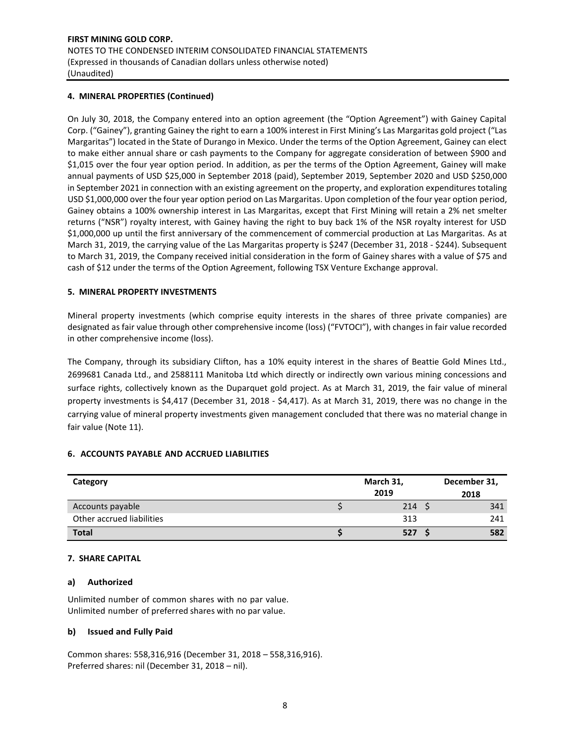## **4. MINERAL PROPERTIES (Continued)**

On July 30, 2018, the Company entered into an option agreement (the "Option Agreement") with Gainey Capital Corp. ("Gainey"), granting Gainey the right to earn a 100% interest in First Mining's Las Margaritas gold project ("Las Margaritas") located in the State of Durango in Mexico. Under the terms of the Option Agreement, Gainey can elect to make either annual share or cash payments to the Company for aggregate consideration of between \$900 and \$1,015 over the four year option period. In addition, as per the terms of the Option Agreement, Gainey will make annual payments of USD \$25,000 in September 2018 (paid), September 2019, September 2020 and USD \$250,000 in September 2021 in connection with an existing agreement on the property, and exploration expenditures totaling USD \$1,000,000 over the four year option period on Las Margaritas. Upon completion of the four year option period, Gainey obtains a 100% ownership interest in Las Margaritas, except that First Mining will retain a 2% net smelter returns ("NSR") royalty interest, with Gainey having the right to buy back 1% of the NSR royalty interest for USD \$1,000,000 up until the first anniversary of the commencement of commercial production at Las Margaritas. As at March 31, 2019, the carrying value of the Las Margaritas property is \$247 (December 31, 2018 - \$244). Subsequent to March 31, 2019, the Company received initial consideration in the form of Gainey shares with a value of \$75 and cash of \$12 under the terms of the Option Agreement, following TSX Venture Exchange approval.

## **5. MINERAL PROPERTY INVESTMENTS**

Mineral property investments (which comprise equity interests in the shares of three private companies) are designated as fair value through other comprehensive income (loss) ("FVTOCI"), with changes in fair value recorded in other comprehensive income (loss).

The Company, through its subsidiary Clifton, has a 10% equity interest in the shares of Beattie Gold Mines Ltd., 2699681 Canada Ltd., and 2588111 Manitoba Ltd which directly or indirectly own various mining concessions and surface rights, collectively known as the Duparquet gold project. As at March 31, 2019, the fair value of mineral property investments is \$4,417 (December 31, 2018 - \$4,417). As at March 31, 2019, there was no change in the carrying value of mineral property investments given management concluded that there was no material change in fair value (Note 11).

## **6. ACCOUNTS PAYABLE AND ACCRUED LIABILITIES**

| Category                  |  | December 31, |      |
|---------------------------|--|--------------|------|
|                           |  | 2019         | 2018 |
| Accounts payable          |  | 214S         | 341  |
| Other accrued liabilities |  | 313          | 241  |
| <b>Total</b>              |  | 527          | 582  |

## **7. SHARE CAPITAL**

## **a) Authorized**

Unlimited number of common shares with no par value. Unlimited number of preferred shares with no par value.

## **b) Issued and Fully Paid**

Common shares: 558,316,916 (December 31, 2018 – 558,316,916). Preferred shares: nil (December 31, 2018 – nil).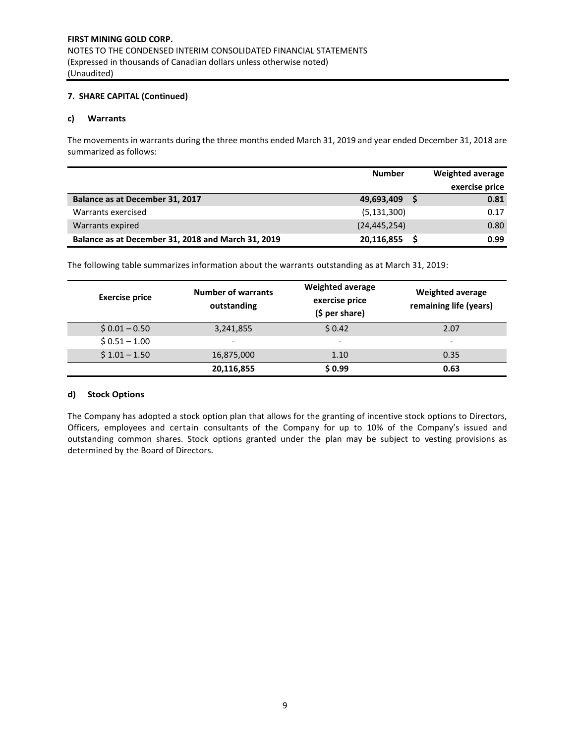## **7. SHARE CAPITAL (Continued)**

## **c) Warrants**

The movements in warrants during the three months ended March 31, 2019 and year ended December 31, 2018 are summarized as follows:

|                                                    | <b>Number</b>  | <b>Weighted average</b> |
|----------------------------------------------------|----------------|-------------------------|
|                                                    |                | exercise price          |
| Balance as at December 31, 2017                    | 49,693,409     | 0.81                    |
| Warrants exercised                                 | (5, 131, 300)  | 0.17                    |
| Warrants expired                                   | (24, 445, 254) | 0.80                    |
| Balance as at December 31, 2018 and March 31, 2019 | 20,116,855     | 0.99                    |

The following table summarizes information about the warrants outstanding as at March 31, 2019:

| <b>Exercise price</b> | <b>Number of warrants</b><br>outstanding | <b>Weighted average</b><br>exercise price<br>$(5 per share)$ | <b>Weighted average</b><br>remaining life (years) |
|-----------------------|------------------------------------------|--------------------------------------------------------------|---------------------------------------------------|
| $$0.01 - 0.50$        | 3,241,855                                | \$0.42                                                       | 2.07                                              |
| $$0.51 - 1.00$        | $\overline{\phantom{0}}$                 | $\overline{\phantom{a}}$                                     | $\overline{\phantom{a}}$                          |
| $$1.01 - 1.50$        | 16,875,000                               | 1.10                                                         | 0.35                                              |
|                       | 20,116,855                               | \$0.99                                                       | 0.63                                              |

## **d) Stock Options**

The Company has adopted a stock option plan that allows for the granting of incentive stock options to Directors, Officers, employees and certain consultants of the Company for up to 10% of the Company's issued and outstanding common shares. Stock options granted under the plan may be subject to vesting provisions as determined by the Board of Directors.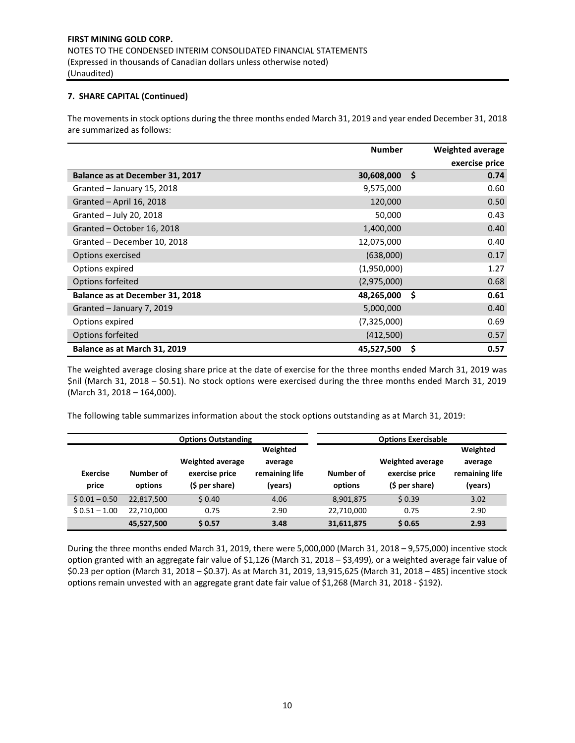## **7. SHARE CAPITAL (Continued)**

The movements in stock options during the three months ended March 31, 2019 and year ended December 31, 2018 are summarized as follows:

|                                 | <b>Number</b> |     | Weighted average |
|---------------------------------|---------------|-----|------------------|
|                                 |               |     | exercise price   |
| Balance as at December 31, 2017 | 30,608,000    | \$. | 0.74             |
| Granted - January 15, 2018      | 9,575,000     |     | 0.60             |
| Granted - April 16, 2018        | 120,000       |     | 0.50             |
| Granted - July 20, 2018         | 50,000        |     | 0.43             |
| Granted - October 16, 2018      | 1,400,000     |     | 0.40             |
| Granted - December 10, 2018     | 12,075,000    |     | 0.40             |
| Options exercised               | (638,000)     |     | 0.17             |
| Options expired                 | (1,950,000)   |     | 1.27             |
| Options forfeited               | (2,975,000)   |     | 0.68             |
| Balance as at December 31, 2018 | 48,265,000    | \$  | 0.61             |
| Granted - January 7, 2019       | 5,000,000     |     | 0.40             |
| Options expired                 | (7,325,000)   |     | 0.69             |
| Options forfeited               | (412,500)     |     | 0.57             |
| Balance as at March 31, 2019    | 45,527,500    | Ŝ   | 0.57             |

The weighted average closing share price at the date of exercise for the three months ended March 31, 2019 was \$nil (March 31, 2018 – \$0.51). No stock options were exercised during the three months ended March 31, 2019 (March 31, 2018 – 164,000).

The following table summarizes information about the stock options outstanding as at March 31, 2019:

|                          |                      | <b>Options Outstanding</b>                                  | <b>Options Exercisable</b>                       |                      |                                                             |                                                  |
|--------------------------|----------------------|-------------------------------------------------------------|--------------------------------------------------|----------------------|-------------------------------------------------------------|--------------------------------------------------|
| <b>Exercise</b><br>price | Number of<br>options | <b>Weighted average</b><br>exercise price<br>(\$ per share) | Weighted<br>average<br>remaining life<br>(vears) | Number of<br>options | <b>Weighted average</b><br>exercise price<br>(\$ per share) | Weighted<br>average<br>remaining life<br>(years) |
| $$0.01 - 0.50$           | 22,817,500           | \$0.40                                                      | 4.06                                             | 8,901,875            | \$0.39                                                      | 3.02                                             |
| $$0.51 - 1.00$           | 22.710.000           | 0.75                                                        | 2.90                                             | 22,710,000           | 0.75                                                        | 2.90                                             |
|                          | 45,527,500           | \$0.57                                                      | 3.48                                             | 31,611,875           | \$0.65                                                      | 2.93                                             |

During the three months ended March 31, 2019, there were 5,000,000 (March 31, 2018 – 9,575,000) incentive stock option granted with an aggregate fair value of \$1,126 (March 31, 2018 – \$3,499), or a weighted average fair value of \$0.23 per option (March 31, 2018 – \$0.37). As at March 31, 2019, 13,915,625 (March 31, 2018 – 485) incentive stock options remain unvested with an aggregate grant date fair value of \$1,268 (March 31, 2018 - \$192).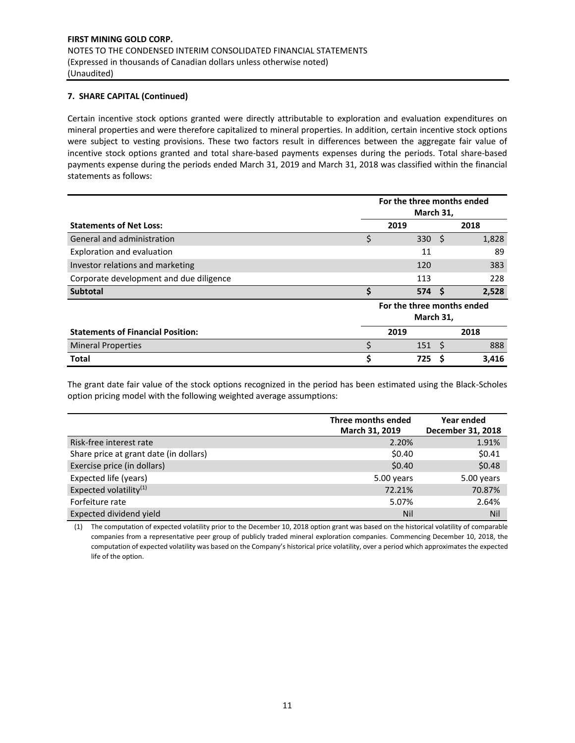## **7. SHARE CAPITAL (Continued)**

Certain incentive stock options granted were directly attributable to exploration and evaluation expenditures on mineral properties and were therefore capitalized to mineral properties. In addition, certain incentive stock options were subject to vesting provisions. These two factors result in differences between the aggregate fair value of incentive stock options granted and total share-based payments expenses during the periods. Total share-based payments expense during the periods ended March 31, 2019 and March 31, 2018 was classified within the financial statements as follows:

|                                          | For the three months ended<br>March 31, |     |       |  |
|------------------------------------------|-----------------------------------------|-----|-------|--|
| <b>Statements of Net Loss:</b>           | 2019                                    |     | 2018  |  |
| General and administration               | \$<br>330                               | -S  | 1,828 |  |
| Exploration and evaluation               | 11                                      |     | 89    |  |
| Investor relations and marketing         | 120                                     |     | 383   |  |
| Corporate development and due diligence  | 113                                     |     | 228   |  |
| <b>Subtotal</b>                          | \$<br>574 <sub>5</sub>                  |     | 2,528 |  |
|                                          | For the three months ended              |     |       |  |
|                                          | March 31,                               |     |       |  |
| <b>Statements of Financial Position:</b> | 2019                                    |     | 2018  |  |
| <b>Mineral Properties</b>                | 151                                     | - S | 888   |  |
| <b>Total</b>                             | 725                                     | Ś   | 3,416 |  |

The grant date fair value of the stock options recognized in the period has been estimated using the Black-Scholes option pricing model with the following weighted average assumptions:

|                                        | Three months ended | Year ended        |
|----------------------------------------|--------------------|-------------------|
|                                        | March 31, 2019     | December 31, 2018 |
| Risk-free interest rate                | 2.20%              | 1.91%             |
| Share price at grant date (in dollars) | \$0.40             | \$0.41            |
| Exercise price (in dollars)            | \$0.40             | \$0.48            |
| Expected life (years)                  | 5.00 years         | 5.00 years        |
| Expected volatility <sup>(1)</sup>     | 72.21%             | 70.87%            |
| Forfeiture rate                        | 5.07%              | 2.64%             |
| Expected dividend yield                | Nil                | <b>Nil</b>        |

(1) The computation of expected volatility prior to the December 10, 2018 option grant was based on the historical volatility of comparable companies from a representative peer group of publicly traded mineral exploration companies. Commencing December 10, 2018, the computation of expected volatility was based on the Company's historical price volatility, over a period which approximates the expected life of the option.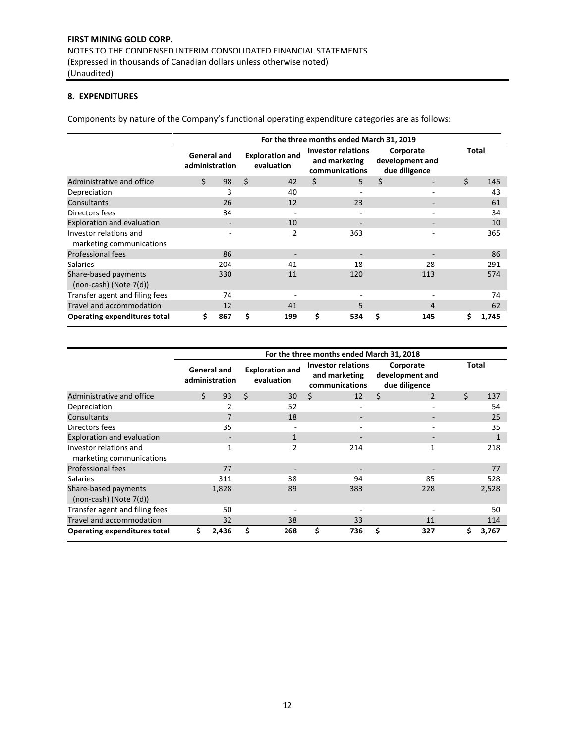## **8. EXPENDITURES**

Components by nature of the Company's functional operating expenditure categories are as follows:

|                                                     | For the three months ended March 31, 2019 |     |    |                                      |    |                                                              |    |                                               |       |       |
|-----------------------------------------------------|-------------------------------------------|-----|----|--------------------------------------|----|--------------------------------------------------------------|----|-----------------------------------------------|-------|-------|
|                                                     | General and<br>administration             |     |    | <b>Exploration and</b><br>evaluation |    | <b>Investor relations</b><br>and marketing<br>communications |    | Corporate<br>development and<br>due diligence | Total |       |
| Administrative and office                           | Ś                                         | 98  | \$ | 42                                   | \$ | 5                                                            | \$ |                                               | Ś.    | 145   |
| Depreciation                                        |                                           | 3   |    | 40                                   |    | ۰                                                            |    |                                               |       | 43    |
| Consultants                                         |                                           | 26  |    | 12                                   |    | 23                                                           |    |                                               |       | 61    |
| Directors fees                                      |                                           | 34  |    |                                      |    | ۰                                                            |    |                                               |       | 34    |
| Exploration and evaluation                          |                                           |     |    | 10                                   |    |                                                              |    |                                               |       | 10    |
| Investor relations and<br>marketing communications  |                                           |     |    | 2                                    |    | 363                                                          |    |                                               |       | 365   |
| <b>Professional fees</b>                            |                                           | 86  |    |                                      |    |                                                              |    |                                               |       | 86    |
| <b>Salaries</b>                                     |                                           | 204 |    | 41                                   |    | 18                                                           |    | 28                                            |       | 291   |
| Share-based payments<br>$(non-cash)$ (Note $7(d)$ ) |                                           | 330 |    | 11                                   |    | 120                                                          |    | 113                                           |       | 574   |
| Transfer agent and filing fees                      |                                           | 74  |    |                                      |    |                                                              |    |                                               |       | 74    |
| Travel and accommodation                            |                                           | 12  |    | 41                                   |    | 5.                                                           |    | 4                                             |       | 62    |
| <b>Operating expenditures total</b>                 | Ś                                         | 867 | Ś  | 199                                  | \$ | 534                                                          | \$ | 145                                           | \$    | 1,745 |

|                                                     | For the three months ended March 31, 2018 |                               |                                      |                |    |                                                              |   |                                               |       |       |
|-----------------------------------------------------|-------------------------------------------|-------------------------------|--------------------------------------|----------------|----|--------------------------------------------------------------|---|-----------------------------------------------|-------|-------|
|                                                     |                                           | General and<br>administration | <b>Exploration and</b><br>evaluation |                |    | <b>Investor relations</b><br>and marketing<br>communications |   | Corporate<br>development and<br>due diligence | Total |       |
| Administrative and office                           | ς                                         | 93                            | Ś.                                   | 30             | Ś. | 12                                                           | Ś | $\overline{2}$                                | Ś.    | 137   |
| Depreciation                                        |                                           | $\overline{2}$                |                                      | 52             |    | ٠                                                            |   | $\overline{\phantom{a}}$                      |       | 54    |
| Consultants                                         |                                           | 7                             |                                      | 18             |    |                                                              |   |                                               |       | 25    |
| Directors fees                                      |                                           | 35                            |                                      |                |    |                                                              |   | ٠                                             |       | 35    |
| Exploration and evaluation                          |                                           |                               |                                      | $\mathbf{1}$   |    |                                                              |   | $\overline{\phantom{0}}$                      |       |       |
| Investor relations and<br>marketing communications  |                                           | 1                             |                                      | $\overline{2}$ |    | 214                                                          |   | 1                                             |       | 218   |
| <b>Professional fees</b>                            |                                           | 77                            |                                      |                |    |                                                              |   |                                               |       | 77    |
| <b>Salaries</b>                                     |                                           | 311                           |                                      | 38             |    | 94                                                           |   | 85                                            |       | 528   |
| Share-based payments<br>$(non-cash)$ (Note $7(d)$ ) |                                           | 1,828                         |                                      | 89             |    | 383                                                          |   | 228                                           |       | 2,528 |
| Transfer agent and filing fees                      |                                           | 50                            |                                      |                |    |                                                              |   |                                               |       | 50    |
| Travel and accommodation                            |                                           | 32                            |                                      | 38             |    | 33                                                           |   | 11                                            |       | 114   |
| <b>Operating expenditures total</b>                 | Ś.                                        | 2,436                         | \$                                   | 268            | \$ | 736                                                          | Ś | 327                                           | \$    | 3,767 |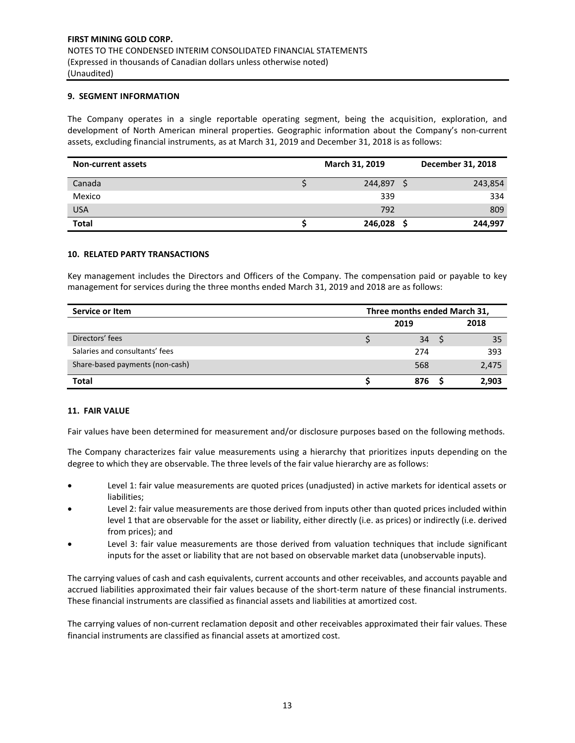## **9. SEGMENT INFORMATION**

The Company operates in a single reportable operating segment, being the acquisition, exploration, and development of North American mineral properties. Geographic information about the Company's non-current assets, excluding financial instruments, as at March 31, 2019 and December 31, 2018 is as follows:

| <b>Non-current assets</b> | March 31, 2019 | December 31, 2018 |
|---------------------------|----------------|-------------------|
| Canada                    | 244,897        | 243,854           |
| Mexico                    | 339            | 334               |
| <b>USA</b>                | 792            | 809               |
| <b>Total</b>              | 246,028        | 244,997           |

## **10. RELATED PARTY TRANSACTIONS**

Key management includes the Directors and Officers of the Company. The compensation paid or payable to key management for services during the three months ended March 31, 2019 and 2018 are as follows:

| Service or Item                 | Three months ended March 31, |     |  |       |
|---------------------------------|------------------------------|-----|--|-------|
|                                 | 2019                         |     |  | 2018  |
| Directors' fees                 |                              | 34  |  | 35    |
| Salaries and consultants' fees  |                              | 274 |  | 393   |
| Share-based payments (non-cash) |                              | 568 |  | 2,475 |
| <b>Total</b>                    |                              | 876 |  | 2.903 |

## **11. FAIR VALUE**

Fair values have been determined for measurement and/or disclosure purposes based on the following methods.

The Company characterizes fair value measurements using a hierarchy that prioritizes inputs depending on the degree to which they are observable. The three levels of the fair value hierarchy are as follows:

- Level 1: fair value measurements are quoted prices (unadjusted) in active markets for identical assets or liabilities;
- Level 2: fair value measurements are those derived from inputs other than quoted prices included within level 1 that are observable for the asset or liability, either directly (i.e. as prices) or indirectly (i.e. derived from prices); and
- Level 3: fair value measurements are those derived from valuation techniques that include significant inputs for the asset or liability that are not based on observable market data (unobservable inputs).

The carrying values of cash and cash equivalents, current accounts and other receivables, and accounts payable and accrued liabilities approximated their fair values because of the short-term nature of these financial instruments. These financial instruments are classified as financial assets and liabilities at amortized cost.

The carrying values of non-current reclamation deposit and other receivables approximated their fair values. These financial instruments are classified as financial assets at amortized cost.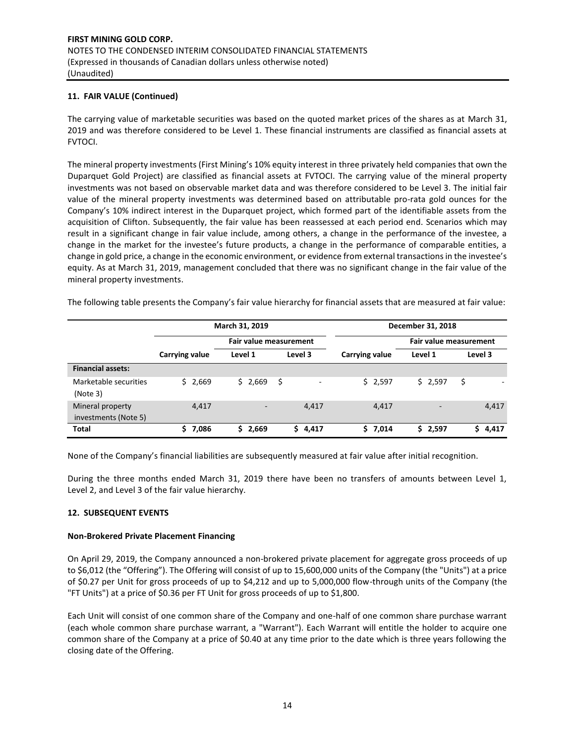## **11. FAIR VALUE (Continued)**

The carrying value of marketable securities was based on the quoted market prices of the shares as at March 31, 2019 and was therefore considered to be Level 1. These financial instruments are classified as financial assets at FVTOCI.

The mineral property investments (First Mining's 10% equity interest in three privately held companies that own the Duparquet Gold Project) are classified as financial assets at FVTOCI. The carrying value of the mineral property investments was not based on observable market data and was therefore considered to be Level 3. The initial fair value of the mineral property investments was determined based on attributable pro-rata gold ounces for the Company's 10% indirect interest in the Duparquet project, which formed part of the identifiable assets from the acquisition of Clifton. Subsequently, the fair value has been reassessed at each period end. Scenarios which may result in a significant change in fair value include, among others, a change in the performance of the investee, a change in the market for the investee's future products, a change in the performance of comparable entities, a change in gold price, a change in the economic environment, or evidence from external transactions in the investee's equity. As at March 31, 2019, management concluded that there was no significant change in the fair value of the mineral property investments.

The following table presents the Company's fair value hierarchy for financial assets that are measured at fair value:

|                                          |                | March 31, 2019         |         | December 31, 2018 |                        |             |  |  |  |
|------------------------------------------|----------------|------------------------|---------|-------------------|------------------------|-------------|--|--|--|
|                                          |                | Fair value measurement |         |                   | Fair value measurement |             |  |  |  |
|                                          | Carrying value | Level 1                | Level 3 | Carrying value    | Level 1                | Level 3     |  |  |  |
| <b>Financial assets:</b>                 |                |                        |         |                   |                        |             |  |  |  |
| Marketable securities<br>(Note 3)        | \$2,669        | \$2,669                | \$      | \$2,597           | \$2,597                | Ş           |  |  |  |
| Mineral property<br>investments (Note 5) | 4,417          |                        | 4,417   | 4,417             | -                      | 4,417       |  |  |  |
| <b>Total</b>                             | \$7,086        | 2,669<br>ς             | \$4,417 | \$7,014           | \$2,597                | 4,417<br>S. |  |  |  |

None of the Company's financial liabilities are subsequently measured at fair value after initial recognition.

During the three months ended March 31, 2019 there have been no transfers of amounts between Level 1, Level 2, and Level 3 of the fair value hierarchy.

## **12. SUBSEQUENT EVENTS**

## **Non-Brokered Private Placement Financing**

On April 29, 2019, the Company announced a non-brokered private placement for aggregate gross proceeds of up to \$6,012 (the "Offering"). The Offering will consist of up to 15,600,000 units of the Company (the "Units") at a price of \$0.27 per Unit for gross proceeds of up to \$4,212 and up to 5,000,000 flow-through units of the Company (the "FT Units") at a price of \$0.36 per FT Unit for gross proceeds of up to \$1,800.

Each Unit will consist of one common share of the Company and one-half of one common share purchase warrant (each whole common share purchase warrant, a "Warrant"). Each Warrant will entitle the holder to acquire one common share of the Company at a price of \$0.40 at any time prior to the date which is three years following the closing date of the Offering.